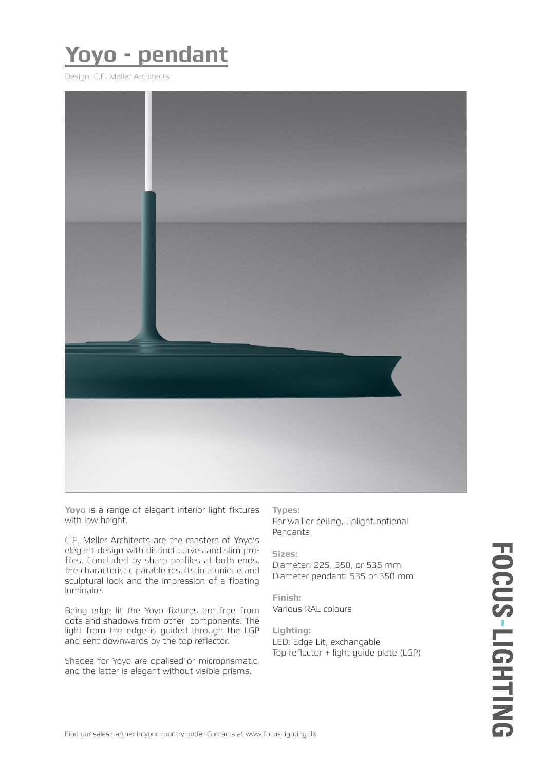## **Yoyo - pendant**

Design: C.F. Møller Architects



**Yoyo** is a range of elegant interior light fixtures with low height.

C.F. Møller Architects are the masters of Yoyo's elegant design with distinct curves and slim profiles. Concluded by sharp profiles at both ends, the characteristic parable results in a unique and sculptural look and the impression of a floating luminaire.

Being edge lit the Yoyo fixtures are free from dots and shadows from other components. The light from the edge is guided through the LGP and sent downwards by the top reflector.

Shades for Yoyo are opalised or microprismatic, and the latter is elegant without visible prisms.

**Types:**

For wall or ceiling, uplight optional Pendants

**Sizes:**

Diameter: 225, 350, or 535 mm Diameter pendant: 535 or 350 mm

**Finish:** Various RAL colours

**Lighting:** LED: Edge Lit, exchangable Top reflector + light guide plate (LGP)

# FOCUS-LIGHTING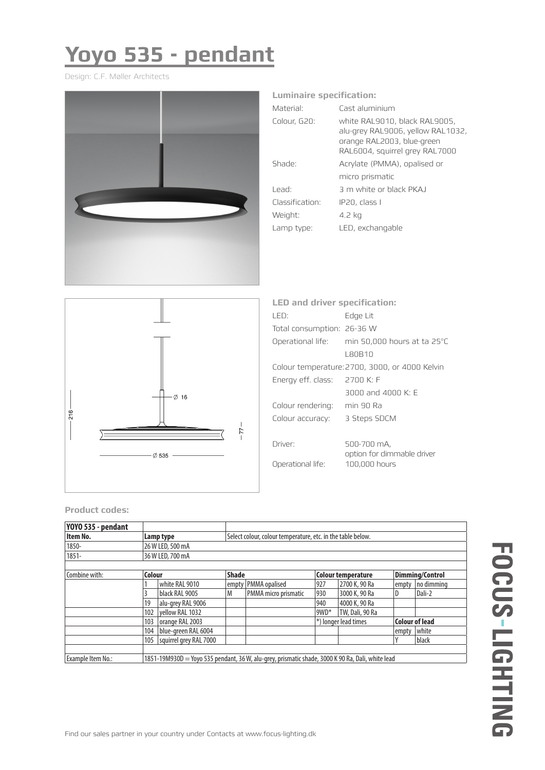# **Yoyo 535 - pendant**

Design: C.F. Møller Architects



### **Luminaire specification:**

| Material <sup>.</sup> | Cast aluminium                                                                                                                     |
|-----------------------|------------------------------------------------------------------------------------------------------------------------------------|
| Colour, G20:          | white RAL9010, black RAL9005,<br>alu-grey RAL9006, yellow RAL1032,<br>orange RAL2003, blue-green<br>RAL6004, squirrel grey RAL7000 |
| Shade:                | Acrylate (PMMA), opalised or                                                                                                       |
|                       | micro prismatic                                                                                                                    |
| l ead <sup>.</sup>    | 3 m white or black PKA I                                                                                                           |
| Classification:       | IP20, class I                                                                                                                      |
| Weight:               | 4.2 kg                                                                                                                             |
| Lamp type:            | LED, exchangable                                                                                                                   |
|                       |                                                                                                                                    |



| <b>LED and driver specification:</b> |                                                |  |  |  |  |
|--------------------------------------|------------------------------------------------|--|--|--|--|
| I FD:                                | Edge Lit                                       |  |  |  |  |
| Total consumption: 26-36 W           |                                                |  |  |  |  |
|                                      | Operational life: min 50,000 hours at ta 25°C  |  |  |  |  |
|                                      | I ROB10                                        |  |  |  |  |
|                                      | Colour temperature: 2700, 3000, or 4000 Kelvin |  |  |  |  |
| Energy eff. class:                   | 2700 K: F                                      |  |  |  |  |
|                                      | $3000$ and $4000$ K: F                         |  |  |  |  |
| Colour rendering:                    | min 90 Ra                                      |  |  |  |  |
| Colour accuracy:                     | 3 Steps SDCM                                   |  |  |  |  |
|                                      |                                                |  |  |  |  |
| Driver:                              | 500-700 mA,                                    |  |  |  |  |
| Operational life:                    | option for dimmable driver<br>100,000 hours    |  |  |  |  |

### **Product codes:**

| YOYO 535 - pendant |                                                                                                  |                        |              |                       |                           |                 |                        |            |  |
|--------------------|--------------------------------------------------------------------------------------------------|------------------------|--------------|-----------------------|---------------------------|-----------------|------------------------|------------|--|
| Item No.           | Select colour, colour temperature, etc. in the table below.<br>Lamp type                         |                        |              |                       |                           |                 |                        |            |  |
| 1850-              |                                                                                                  | 26 W LED, 500 mA       |              |                       |                           |                 |                        |            |  |
| $1851 -$           |                                                                                                  | 36 W LED, 700 mA       |              |                       |                           |                 |                        |            |  |
|                    |                                                                                                  |                        |              |                       |                           |                 |                        |            |  |
| Combine with:      | Colour                                                                                           |                        | <b>Shade</b> |                       | <b>Colour temperature</b> |                 | <b>Dimming/Control</b> |            |  |
|                    |                                                                                                  | white RAL 9010         |              | empty   PMMA opalised | 927                       | 2700 K, 90 Ra   | empty                  | no dimmina |  |
|                    |                                                                                                  | black RAL 9005         | M            | PMMA micro prismatic  | 930                       | 3000 K, 90 Ra   | D                      | Dali-2     |  |
|                    | 19                                                                                               | alu-grey RAL 9006      |              |                       | 940                       | 4000 K, 90 Ra   |                        |            |  |
|                    | 102                                                                                              | vellow RAL 1032        |              |                       | 9WD*                      | TW, Dali, 90 Ra |                        |            |  |
|                    | 103                                                                                              | orange RAL 2003        |              |                       | *) longer lead times      |                 | <b>Colour of lead</b>  |            |  |
|                    | 104                                                                                              | blue-areen RAL 6004    |              |                       |                           |                 | empty                  | white      |  |
|                    | 105                                                                                              | squirrel arev RAL 7000 |              |                       |                           |                 |                        | black      |  |
|                    |                                                                                                  |                        |              |                       |                           |                 |                        |            |  |
| Example Item No.:  | 1851-19M930D = Yoyo 535 pendant, 36 W, alu-grey, prismatic shade, 3000 K 90 Ra, Dali, white lead |                        |              |                       |                           |                 |                        |            |  |